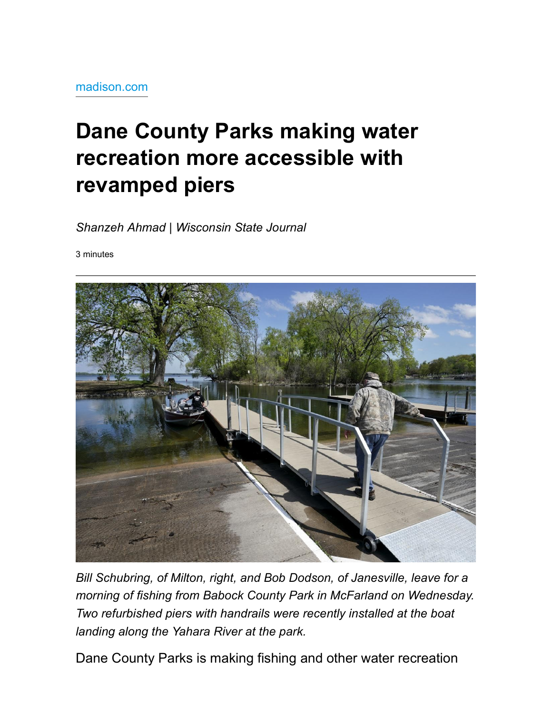## Dane County Parks making water recreation more accessible with revamped piers

Shanzeh Ahmad | Wisconsin State Journal

3 minutes



Bill Schubring, of Milton, right, and Bob Dodson, of Janesville, leave for a morning of fishing from Babock County Park in McFarland on Wednesday. Two refurbished piers with handrails were recently installed at the boat landing along the Yahara River at the park.

Dane County Parks is making fishing and other water recreation